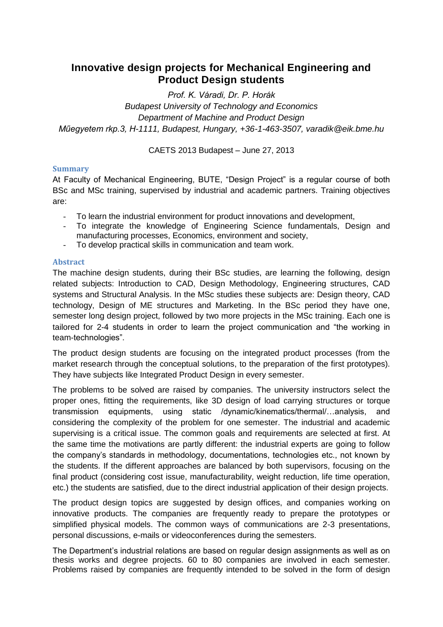## **Innovative design projects for Mechanical Engineering and Product Design students**

*Prof. K. Váradi, Dr. P. Horák Budapest University of Technology and Economics Department of Machine and Product Design Műegyetem rkp.3, H-1111, Budapest, Hungary, +36-1-463-3507, varadik@eik.bme.hu*

CAETS 2013 Budapest – June 27, 2013

## **Summary**

At Faculty of Mechanical Engineering, BUTE, "Design Project" is a regular course of both BSc and MSc training, supervised by industrial and academic partners. Training objectives are:

- To learn the industrial environment for product innovations and development,
- To integrate the knowledge of Engineering Science fundamentals, Design and manufacturing processes, Economics, environment and society,
- To develop practical skills in communication and team work.

## **Abstract**

The machine design students, during their BSc studies, are learning the following, design related subjects: Introduction to CAD, Design Methodology, Engineering structures, CAD systems and Structural Analysis. In the MSc studies these subjects are: Design theory, CAD technology, Design of ME structures and Marketing. In the BSc period they have one, semester long design project, followed by two more projects in the MSc training. Each one is tailored for 2-4 students in order to learn the project communication and "the working in team-technologies".

The product design students are focusing on the integrated product processes (from the market research through the conceptual solutions, to the preparation of the first prototypes). They have subjects like Integrated Product Design in every semester.

The problems to be solved are raised by companies. The university instructors select the proper ones, fitting the requirements, like 3D design of load carrying structures or torque transmission equipments, using static /dynamic/kinematics/thermal/…analysis, and considering the complexity of the problem for one semester. The industrial and academic supervising is a critical issue. The common goals and requirements are selected at first. At the same time the motivations are partly different: the industrial experts are going to follow the company's standards in methodology, documentations, technologies etc., not known by the students. If the different approaches are balanced by both supervisors, focusing on the final product (considering cost issue, manufacturability, weight reduction, life time operation, etc.) the students are satisfied, due to the direct industrial application of their design projects.

The product design topics are suggested by design offices, and companies working on innovative products. The companies are frequently ready to prepare the prototypes or simplified physical models. The common ways of communications are 2-3 presentations, personal discussions, e-mails or videoconferences during the semesters.

The Department's industrial relations are based on regular design assignments as well as on thesis works and degree projects. 60 to 80 companies are involved in each semester. Problems raised by companies are frequently intended to be solved in the form of design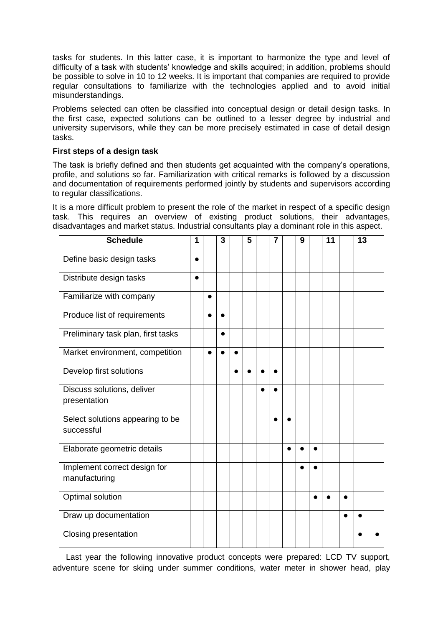tasks for students. In this latter case, it is important to harmonize the type and level of difficulty of a task with students' knowledge and skills acquired; in addition, problems should be possible to solve in 10 to 12 weeks. It is important that companies are required to provide regular consultations to familiarize with the technologies applied and to avoid initial misunderstandings.

Problems selected can often be classified into conceptual design or detail design tasks. In the first case, expected solutions can be outlined to a lesser degree by industrial and university supervisors, while they can be more precisely estimated in case of detail design tasks.

## **First steps of a design task**

The task is briefly defined and then students get acquainted with the company's operations, profile, and solutions so far. Familiarization with critical remarks is followed by a discussion and documentation of requirements performed jointly by students and supervisors according to regular classifications.

It is a more difficult problem to present the role of the market in respect of a specific design task. This requires an overview of existing product solutions, their advantages, disadvantages and market status. Industrial consultants play a dominant role in this aspect.

| <b>Schedule</b>                                | 1         |           | 3         |           | 5 | 7         |           | 9 |           | 11 |           | 13 |  |
|------------------------------------------------|-----------|-----------|-----------|-----------|---|-----------|-----------|---|-----------|----|-----------|----|--|
| Define basic design tasks                      | $\bullet$ |           |           |           |   |           |           |   |           |    |           |    |  |
| Distribute design tasks                        | $\bullet$ |           |           |           |   |           |           |   |           |    |           |    |  |
| Familiarize with company                       |           | $\bullet$ |           |           |   |           |           |   |           |    |           |    |  |
| Produce list of requirements                   |           | $\bullet$ |           |           |   |           |           |   |           |    |           |    |  |
| Preliminary task plan, first tasks             |           |           | $\bullet$ |           |   |           |           |   |           |    |           |    |  |
| Market environment, competition                |           |           |           |           |   |           |           |   |           |    |           |    |  |
| Develop first solutions                        |           |           |           | $\bullet$ |   | $\bullet$ |           |   |           |    |           |    |  |
| Discuss solutions, deliver                     |           |           |           |           |   |           |           |   |           |    |           |    |  |
| presentation                                   |           |           |           |           |   |           |           |   |           |    |           |    |  |
| Select solutions appearing to be<br>successful |           |           |           |           |   |           |           |   |           |    |           |    |  |
|                                                |           |           |           |           |   |           |           |   |           |    |           |    |  |
| Elaborate geometric details                    |           |           |           |           |   |           | $\bullet$ |   |           |    |           |    |  |
| Implement correct design for                   |           |           |           |           |   |           |           |   |           |    |           |    |  |
| manufacturing                                  |           |           |           |           |   |           |           |   |           |    |           |    |  |
| Optimal solution                               |           |           |           |           |   |           |           |   | $\bullet$ |    | $\bullet$ |    |  |
| Draw up documentation                          |           |           |           |           |   |           |           |   |           |    |           |    |  |
| <b>Closing presentation</b>                    |           |           |           |           |   |           |           |   |           |    |           |    |  |

Last year the following innovative product concepts were prepared: LCD TV support, adventure scene for skiing under summer conditions, water meter in shower head, play